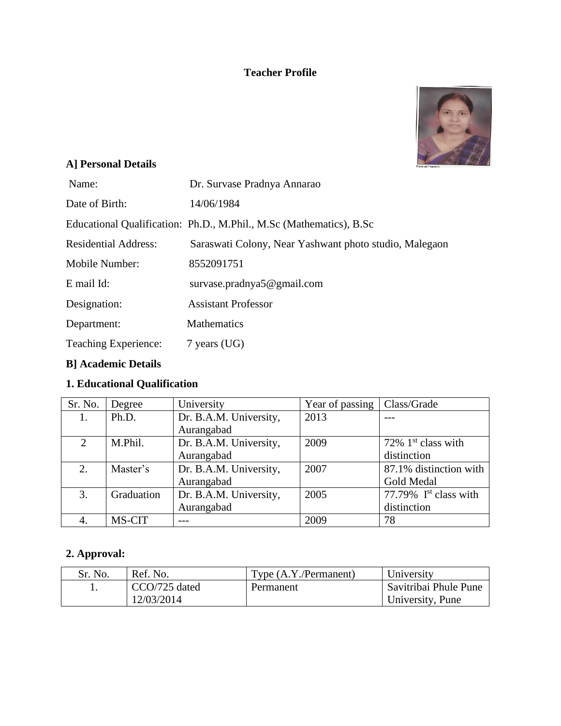## **Teacher Profile**



# **A] Personal Details**

| Name:                       | Dr. Survase Pradnya Annarao                                         |
|-----------------------------|---------------------------------------------------------------------|
| Date of Birth:              | 14/06/1984                                                          |
|                             | Educational Qualification: Ph.D., M.Phil., M.Sc (Mathematics), B.Sc |
| <b>Residential Address:</b> | Saraswati Colony, Near Yashwant photo studio, Malegaon              |
| Mobile Number:              | 8552091751                                                          |
| E mail Id:                  | survase.pradnya $5@$ gmail.com                                      |
| Designation:                | <b>Assistant Professor</b>                                          |
| Department:                 | <b>Mathematics</b>                                                  |
| <b>Teaching Experience:</b> | $7$ years (UG)                                                      |
|                             |                                                                     |

## **B] Academic Details**

# **1. Educational Qualification**

| Sr. No. | Degree     | University             | Year of passing | Class/Grade             |
|---------|------------|------------------------|-----------------|-------------------------|
|         | Ph.D.      | Dr. B.A.M. University, | 2013            |                         |
|         |            | Aurangabad             |                 |                         |
| 2       | M.Phil.    | Dr. B.A.M. University, | 2009            | 72% $1st$ class with    |
|         |            | Aurangabad             |                 | distinction             |
| 2.      | Master's   | Dr. B.A.M. University, | 2007            | 87.1% distinction with  |
|         |            | Aurangabad             |                 | Gold Medal              |
| 3.      | Graduation | Dr. B.A.M. University, | 2005            | 77.79% $Ist class with$ |
|         |            | Aurangabad             |                 | distinction             |
| 4.      | MS-CIT     |                        | 2009            | 78                      |

# **2. Approval:**

| Sr. No. | Ref. No.      | Type (A.Y./Permanent) | University            |
|---------|---------------|-----------------------|-----------------------|
|         | CCO/725 dated | Permanent             | Savitribai Phule Pune |
|         | 12/03/2014    |                       | University, Pune      |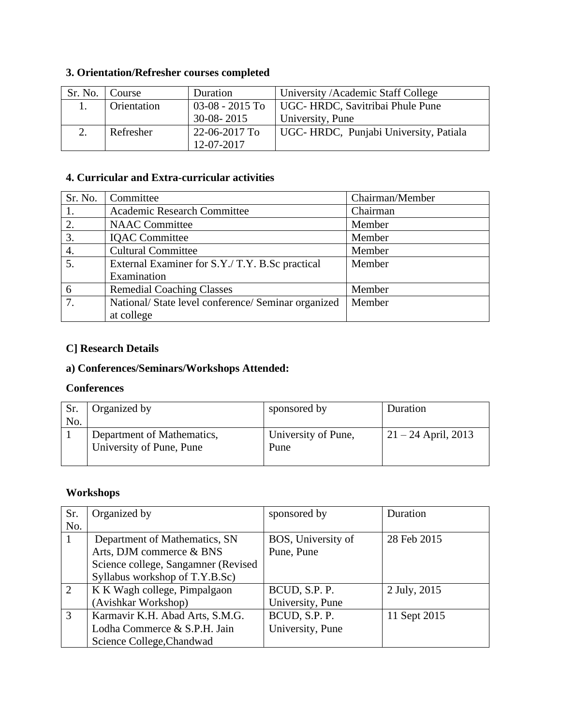# **3. Orientation/Refresher courses completed**

| Sr. No. | Course      | Duration          | University / Academic Staff College    |
|---------|-------------|-------------------|----------------------------------------|
|         | Orientation | $03-08 - 2015$ To | UGC-HRDC, Savitribai Phule Pune        |
|         |             | $30-08 - 2015$    | University, Pune                       |
|         | Refresher   | 22-06-2017 To     | UGC- HRDC, Punjabi University, Patiala |
|         |             | 12-07-2017        |                                        |

### **4. Curricular and Extra-curricular activities**

| Sr. No.          | Committee                                         | Chairman/Member |
|------------------|---------------------------------------------------|-----------------|
|                  | <b>Academic Research Committee</b>                | Chairman        |
| 2.               | <b>NAAC</b> Committee                             | Member          |
| 3.               | <b>IQAC</b> Committee                             | Member          |
| 4.               | <b>Cultural Committee</b>                         | Member          |
| 5.               | External Examiner for S.Y./T.Y. B.Sc practical    | Member          |
|                  | Examination                                       |                 |
| 6                | <b>Remedial Coaching Classes</b>                  | Member          |
| $\overline{7}$ . | National/State level conference/Seminar organized | Member          |
|                  | at college                                        |                 |

### **C] Research Details**

## **a) Conferences/Seminars/Workshops Attended:**

#### **Conferences**

|     | Organized by               | sponsored by        | Duration              |
|-----|----------------------------|---------------------|-----------------------|
| No. |                            |                     |                       |
|     | Department of Mathematics, | University of Pune, | $21 - 24$ April, 2013 |
|     | University of Pune, Pune   | Pune                |                       |
|     |                            |                     |                       |

### **Workshops**

| Sr. | Organized by                        | sponsored by       | Duration     |
|-----|-------------------------------------|--------------------|--------------|
| No. |                                     |                    |              |
|     | Department of Mathematics, SN       | BOS, University of | 28 Feb 2015  |
|     | Arts, DJM commerce & BNS            | Pune, Pune         |              |
|     | Science college, Sangamner (Revised |                    |              |
|     | Syllabus workshop of T.Y.B.Sc)      |                    |              |
| 2   | K K Wagh college, Pimpalgaon        | BCUD, S.P. P.      | 2 July, 2015 |
|     | (Avishkar Workshop)                 | University, Pune   |              |
| 3   | Karmavir K.H. Abad Arts, S.M.G.     | BCUD, S.P. P.      | 11 Sept 2015 |
|     | Lodha Commerce & S.P.H. Jain        | University, Pune   |              |
|     | Science College, Chandwad           |                    |              |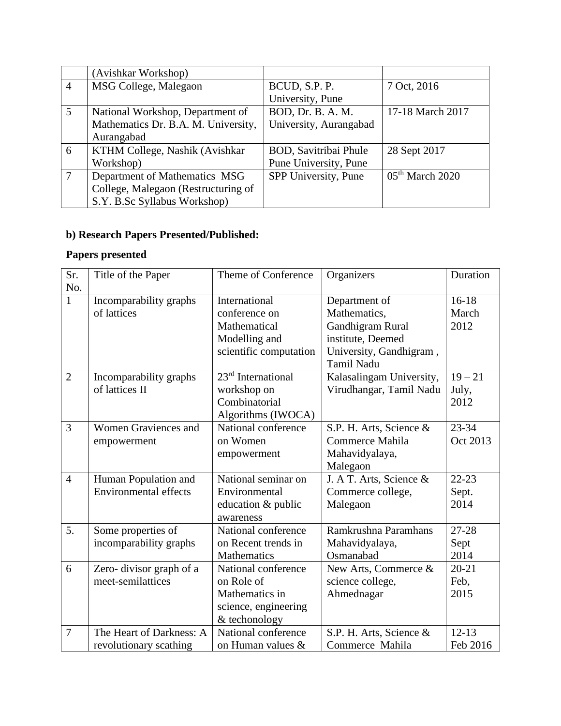|                | (Avishkar Workshop)                 |                              |                   |
|----------------|-------------------------------------|------------------------------|-------------------|
| $\overline{4}$ | MSG College, Malegaon               | BCUD, S.P. P.                | 7 Oct, 2016       |
|                |                                     | University, Pune             |                   |
| 5              | National Workshop, Department of    | BOD, Dr. B. A. M.            | 17-18 March 2017  |
|                | Mathematics Dr. B.A. M. University, | University, Aurangabad       |                   |
|                | Aurangabad                          |                              |                   |
| 6              | KTHM College, Nashik (Avishkar      | <b>BOD, Savitribai Phule</b> | 28 Sept 2017      |
|                | Workshop)                           | Pune University, Pune        |                   |
|                | Department of Mathematics MSG       | SPP University, Pune         | $05th$ March 2020 |
|                | College, Malegaon (Restructuring of |                              |                   |
|                | S.Y. B.Sc Syllabus Workshop)        |                              |                   |

# **b) Research Papers Presented/Published:**

# **Papers presented**

| Sr.            | Title of the Paper           | Theme of Conference            | Organizers               | Duration  |
|----------------|------------------------------|--------------------------------|--------------------------|-----------|
| No.            |                              |                                |                          |           |
| $\mathbf{1}$   | Incomparability graphs       | International                  | Department of            | $16-18$   |
|                | of lattices                  | conference on                  | Mathematics,             | March     |
|                |                              | Mathematical                   | Gandhigram Rural         | 2012      |
|                |                              | Modelling and                  | institute, Deemed        |           |
|                |                              | scientific computation         | University, Gandhigram,  |           |
|                |                              |                                | <b>Tamil Nadu</b>        |           |
| $\overline{2}$ | Incomparability graphs       | 23 <sup>rd</sup> International | Kalasalingam University, | $19 - 21$ |
|                | of lattices II               | workshop on                    | Virudhangar, Tamil Nadu  | July,     |
|                |                              | Combinatorial                  |                          | 2012      |
|                |                              | Algorithms (IWOCA)             |                          |           |
| 3              | <b>Women Graviences and</b>  | National conference            | S.P. H. Arts, Science &  | $23 - 34$ |
|                | empowerment                  | on Women                       | Commerce Mahila          | Oct 2013  |
|                |                              | empowerment                    | Mahavidyalaya,           |           |
|                |                              |                                | Malegaon                 |           |
| $\overline{4}$ | Human Population and         | National seminar on            | J. A T. Arts, Science &  | $22 - 23$ |
|                | <b>Environmental effects</b> | Environmental                  | Commerce college,        | Sept.     |
|                |                              | education & public             | Malegaon                 | 2014      |
|                |                              | awareness                      |                          |           |
| 5.             | Some properties of           | National conference            | Ramkrushna Paramhans     | 27-28     |
|                | incomparability graphs       | on Recent trends in            | Mahavidyalaya,           | Sept      |
|                |                              | Mathematics                    | Osmanabad                | 2014      |
| 6              | Zero-divisor graph of a      | National conference            | New Arts, Commerce &     | $20 - 21$ |
|                | meet-semilattices            | on Role of                     | science college,         | Feb,      |
|                |                              | Mathematics in                 | Ahmednagar               | 2015      |
|                |                              | science, engineering           |                          |           |
|                |                              | & techonology                  |                          |           |
| $\overline{7}$ | The Heart of Darkness: A     | National conference            | S.P. H. Arts, Science &  | $12 - 13$ |
|                | revolutionary scathing       | on Human values &              | Commerce Mahila          | Feb 2016  |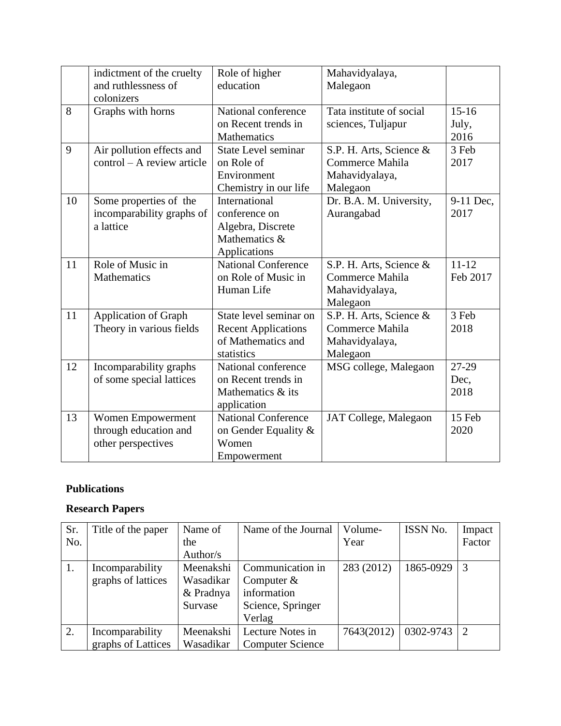|    | indictment of the cruelty<br>and ruthlessness of<br>colonizers   | Role of higher<br>education                                                              | Mahavidyalaya,<br>Malegaon                                               |                            |
|----|------------------------------------------------------------------|------------------------------------------------------------------------------------------|--------------------------------------------------------------------------|----------------------------|
| 8  | Graphs with horns                                                | National conference<br>on Recent trends in<br>Mathematics                                | Tata institute of social<br>sciences, Tuljapur                           | $15 - 16$<br>July,<br>2016 |
| 9  | Air pollution effects and<br>$control - A review article$        | <b>State Level seminar</b><br>on Role of<br>Environment<br>Chemistry in our life         | S.P. H. Arts, Science &<br>Commerce Mahila<br>Mahavidyalaya,<br>Malegaon | 3 Feb<br>2017              |
| 10 | Some properties of the<br>incomparability graphs of<br>a lattice | International<br>conference on<br>Algebra, Discrete<br>Mathematics &<br>Applications     | Dr. B.A. M. University,<br>Aurangabad                                    | 9-11 Dec,<br>2017          |
| 11 | Role of Music in<br><b>Mathematics</b>                           | <b>National Conference</b><br>on Role of Music in<br>Human Life                          | S.P. H. Arts, Science &<br>Commerce Mahila<br>Mahavidyalaya,<br>Malegaon | $11 - 12$<br>Feb 2017      |
| 11 | <b>Application of Graph</b><br>Theory in various fields          | State level seminar on<br><b>Recent Applications</b><br>of Mathematics and<br>statistics | S.P. H. Arts, Science &<br>Commerce Mahila<br>Mahavidyalaya,<br>Malegaon | 3 Feb<br>2018              |
| 12 | Incomparability graphs<br>of some special lattices               | National conference<br>on Recent trends in<br>Mathematics & its<br>application           | MSG college, Malegaon                                                    | 27-29<br>Dec,<br>2018      |
| 13 | Women Empowerment<br>through education and<br>other perspectives | <b>National Conference</b><br>on Gender Equality &<br>Women<br>Empowerment               | JAT College, Malegaon                                                    | 15 Feb<br>2020             |

### **Publications**

## **Research Papers**

| Sr. | Title of the paper | Name of   | Name of the Journal     | Volume-    | ISSN No.  | Impact |
|-----|--------------------|-----------|-------------------------|------------|-----------|--------|
| No. |                    | the       |                         | Year       |           | Factor |
|     |                    | Author/s  |                         |            |           |        |
| 1.  | Incomparability    | Meenakshi | Communication in        | 283 (2012) | 1865-0929 | 3      |
|     | graphs of lattices | Wasadikar | Computer $&$            |            |           |        |
|     |                    | & Pradnya | information             |            |           |        |
|     |                    | Survase   | Science, Springer       |            |           |        |
|     |                    |           | Verlag                  |            |           |        |
| 2.  | Incomparability    | Meenakshi | Lecture Notes in        | 7643(2012) | 0302-9743 | 2      |
|     | graphs of Lattices | Wasadikar | <b>Computer Science</b> |            |           |        |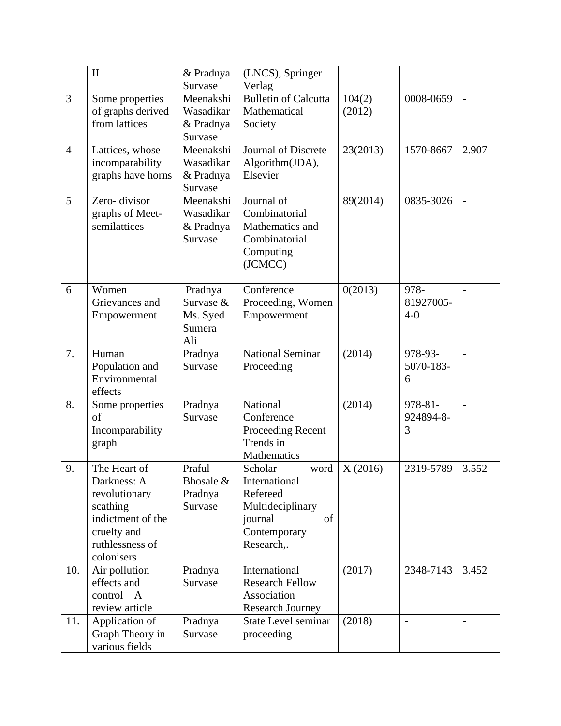|                | $\mathbf{I}$                | & Pradnya            | (LNCS), Springer                 |          |           |                          |
|----------------|-----------------------------|----------------------|----------------------------------|----------|-----------|--------------------------|
|                |                             | Survase              | Verlag                           |          |           |                          |
| $\overline{3}$ | Some properties             | Meenakshi            | <b>Bulletin of Calcutta</b>      | 104(2)   | 0008-0659 |                          |
|                | of graphs derived           | Wasadikar            | Mathematical                     | (2012)   |           |                          |
|                | from lattices               | & Pradnya            | Society                          |          |           |                          |
|                |                             | Survase              |                                  |          |           |                          |
| $\overline{4}$ | Lattices, whose             | Meenakshi            | Journal of Discrete              | 23(2013) | 1570-8667 | 2.907                    |
|                | incomparability             | Wasadikar            | Algorithm(JDA),                  |          |           |                          |
|                | graphs have horns           | & Pradnya            | Elsevier                         |          |           |                          |
|                |                             | Survase              |                                  |          |           |                          |
| 5              | Zero-divisor                | Meenakshi            | Journal of                       | 89(2014) | 0835-3026 |                          |
|                | graphs of Meet-             | Wasadikar            | Combinatorial                    |          |           |                          |
|                | semilattices                | & Pradnya<br>Survase | Mathematics and<br>Combinatorial |          |           |                          |
|                |                             |                      |                                  |          |           |                          |
|                |                             |                      | Computing<br>(JCMCC)             |          |           |                          |
|                |                             |                      |                                  |          |           |                          |
| 6              | Women                       | Pradnya              | Conference                       | 0(2013)  | 978-      |                          |
|                | Grievances and              | Survase &            | Proceeding, Women                |          | 81927005- |                          |
|                | Empowerment                 | Ms. Syed             | Empowerment                      |          | $4 - 0$   |                          |
|                |                             | Sumera               |                                  |          |           |                          |
|                |                             | Ali                  |                                  |          |           |                          |
| 7.             | Human                       | Pradnya              | <b>National Seminar</b>          | (2014)   | 978-93-   | $\overline{\phantom{a}}$ |
|                | Population and              | Survase              | Proceeding                       |          | 5070-183- |                          |
|                | Environmental               |                      |                                  |          | 6         |                          |
|                | effects                     |                      |                                  |          |           |                          |
| 8.             | Some properties             | Pradnya              | National                         | (2014)   | 978-81-   | $\overline{a}$           |
|                | of                          | Survase              | Conference                       |          | 924894-8- |                          |
|                | Incomparability             |                      | Proceeding Recent                |          | 3         |                          |
|                | graph                       |                      | Trends in                        |          |           |                          |
|                |                             |                      | Mathematics                      |          |           |                          |
| 9.             | The Heart of<br>Darkness: A | Praful<br>Bhosale &  | Scholar<br>word<br>International | X(2016)  | 2319-5789 | 3.552                    |
|                | revolutionary               | Pradnya              | Refereed                         |          |           |                          |
|                | scathing                    | Survase              | Multideciplinary                 |          |           |                          |
|                | indictment of the           |                      | journal<br>of                    |          |           |                          |
|                | cruelty and                 |                      | Contemporary                     |          |           |                          |
|                | ruthlessness of             |                      | Research,.                       |          |           |                          |
|                | colonisers                  |                      |                                  |          |           |                          |
| 10.            | Air pollution               | Pradnya              | International                    | (2017)   | 2348-7143 | 3.452                    |
|                | effects and                 | Survase              | <b>Research Fellow</b>           |          |           |                          |
|                | $control - A$               |                      | Association                      |          |           |                          |
|                | review article              |                      | Research Journey                 |          |           |                          |
| 11.            | Application of              | Pradnya              | <b>State Level seminar</b>       | (2018)   |           |                          |
|                | Graph Theory in             | Survase              | proceeding                       |          |           |                          |
|                | various fields              |                      |                                  |          |           |                          |